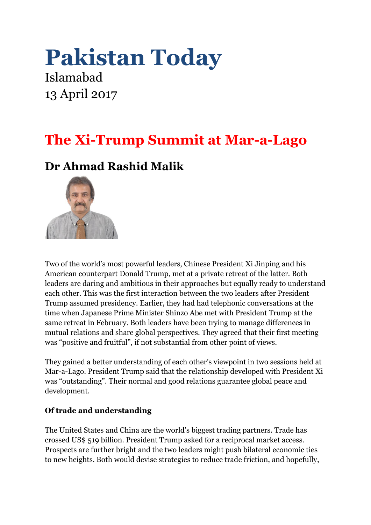# **Pakistan Today**

Islamabad 13 April 2017

## **The Xi-Trump Summit at Mar-a-Lago**

## **Dr Ahmad Rashid Malik**



Two of the world's most powerful leaders, Chinese President Xi Jinping and his American counterpart Donald Trump, met at a private retreat of the latter. Both leaders are daring and ambitious in their approaches but equally ready to understand each other. This was the first interaction between the two leaders after President Trump assumed presidency. Earlier, they had had telephonic conversations at the time when Japanese Prime Minister Shinzo Abe met with President Trump at the same retreat in February. Both leaders have been trying to manage differences in mutual relations and share global perspectives. They agreed that their first meeting was "positive and fruitful", if not substantial from other point of views.

They gained a better understanding of each other's viewpoint in two sessions held at Mar-a-Lago. President Trump said that the relationship developed with President Xi was "outstanding". Their normal and good relations guarantee global peace and development.

### **Of trade and understanding**

The United States and China are the world's biggest trading partners. Trade has crossed US\$ 519 billion. President Trump asked for a reciprocal market access. Prospects are further bright and the two leaders might push bilateral economic ties to new heights. Both would devise strategies to reduce trade friction, and hopefully,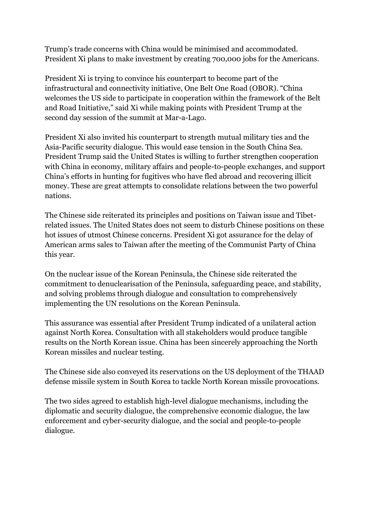Trump's trade concerns with China would be minimised and accommodated. President Xi plans to make investment by creating 700,000 jobs for the Americans.

President Xi is trying to convince his counterpart to become part of the infrastructural and connectivity initiative, One Belt One Road (OBOR). "China welcomes the US side to participate in cooperation within the framework of the Belt and Road Initiative," said Xi while making points with President Trump at the second day session of the summit at Mar-a-Lago.

President Xi also invited his counterpart to strength mutual military ties and the Asia-Pacific security dialogue. This would ease tension in the South China Sea. President Trump said the United States is willing to further strengthen cooperation with China in economy, military affairs and people-to-people exchanges, and support China's efforts in hunting for fugitives who have fled abroad and recovering illicit money. These are great attempts to consolidate relations between the two powerful nations.

The Chinese side reiterated its principles and positions on Taiwan issue and Tibetrelated issues. The United States does not seem to disturb Chinese positions on these hot issues of utmost Chinese concerns. President Xi got assurance for the delay of American arms sales to Taiwan after the meeting of the Communist Party of China this year.

On the nuclear issue of the Korean Peninsula, the Chinese side reiterated the commitment to denuclearisation of the Peninsula, safeguarding peace, and stability, and solving problems through dialogue and consultation to comprehensively implementing the UN resolutions on the Korean Peninsula.

This assurance was essential after President Trump indicated of a unilateral action against North Korea. Consultation with all stakeholders would produce tangible results on the North Korean issue. China has been sincerely approaching the North Korean missiles and nuclear testing.

The Chinese side also conveyed its reservations on the US deployment of the THAAD defense missile system in South Korea to tackle North Korean missile provocations.

The two sides agreed to establish high-level dialogue mechanisms, including the diplomatic and security dialogue, the comprehensive economic dialogue, the law enforcement and cyber-security dialogue, and the social and people-to-people dialogue.